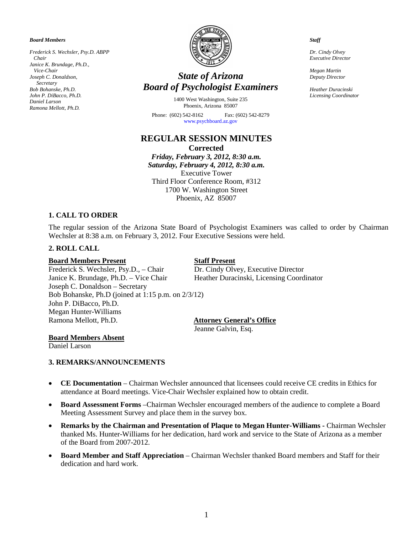*Board Members*

*Frederick S. Wechsler, Psy.D. ABPP Chair Janice K. Brundage, Ph.D., Vice-Chair Joseph C. Donaldson, Secretary Bob Bohanske, Ph.D. John P. DiBacco, Ph.D. Daniel Larson Ramona Mellott, Ph.D.*



# *State of Arizona Board of Psychologist Examiners*

1400 West Washington, Suite 235 Phoenix, Arizona 85007

Phone: (602) 542-8162 Fax: (602) 542-8279 [www.psychboard.az.gov](http://www.psychboard.az.gov/) 

# **REGULAR SESSION MINUTES Corrected**

*Friday, February 3, 2012, 8:30 a.m. Saturday, February 4, 2012, 8:30 a.m.* Executive Tower Third Floor Conference Room, #312 1700 W. Washington Street Phoenix, AZ 85007

# **1. CALL TO ORDER**

The regular session of the Arizona State Board of Psychologist Examiners was called to order by Chairman Wechsler at 8:38 a.m. on February 3, 2012. Four Executive Sessions were held.

#### **2. ROLL CALL**

#### **Board Members Present Staff Present**

Frederick S. Wechsler, Psy.D., – Chair Dr. Cindy Olvey, Executive Director Janice K. Brundage, Ph.D. – Vice Chair Heather Duracinski, Licensing Coordinator Joseph C. Donaldson – Secretary Bob Bohanske, Ph.D (joined at 1:15 p.m. on 2/3/12) John P. DiBacco, Ph.D. Megan Hunter-Williams

# **Attorney General's Office**

Jeanne Galvin, Esq.

#### **Board Members Absent**

Daniel Larson

#### **3. REMARKS/ANNOUNCEMENTS**

- **CE Documentation** Chairman Wechsler announced that licensees could receive CE credits in Ethics for attendance at Board meetings. Vice-Chair Wechsler explained how to obtain credit.
- **Board Assessment Forms** –Chairman Wechsler encouraged members of the audience to complete a Board Meeting Assessment Survey and place them in the survey box.
- **Remarks by the Chairman and Presentation of Plaque to Megan Hunter-Williams -** Chairman Wechsler thanked Ms. Hunter-Williams for her dedication, hard work and service to the State of Arizona as a member of the Board from 2007-2012.
- **Board Member and Staff Appreciation** Chairman Wechsler thanked Board members and Staff for their dedication and hard work.

#### *Staff*

*Dr. Cindy Olvey Executive Director*

*Megan Martin Deputy Director*

*Heather Duracinski Licensing Coordinator*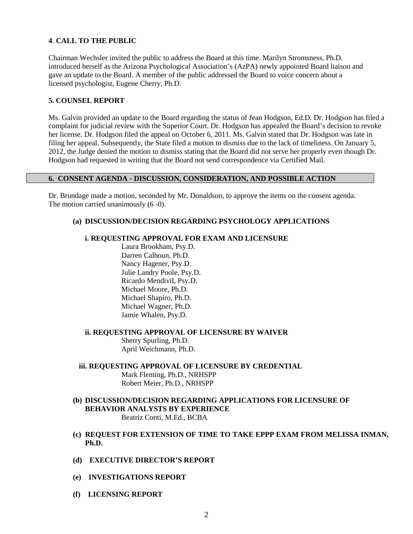### **4**. **CALL TO THE PUBLIC**

Chairman Wechsler invited the public to address the Board at this time. Marilyn Stromsness, Ph.D. introduced herself as the Arizona Psychological Association's (AzPA) newly appointed Board liaison and gave an update to the Board. A member of the public addressed the Board to voice concern about a licensed psychologist, Eugene Cherry, Ph.D.

#### **5. COUNSEL REPORT**

Ms. Galvin provided an update to the Board regarding the status of Jean Hodgson, Ed.D. Dr. Hodgson has filed a complaint for judicial review with the Superior Court. Dr. Hodgson has appealed the Board's decision to revoke her license. Dr. Hodgson filed the appeal on October 6, 2011. Ms. Galvin stated that Dr. Hodgson was late in filing her appeal. Subsequently, the State filed a motion to dismiss due to the lack of timeliness. On January 5, 2012, the Judge denied the motion to dismiss stating that the Board did not serve her properly even though Dr. Hodgson had requested in writing that the Board not send correspondence via Certified Mail.

#### **6. CONSENT AGENDA - DISCUSSION, CONSIDERATION, AND POSSIBLE ACTION**

Dr. Brundage made a motion, seconded by Mr. Donaldson, to approve the items on the consent agenda. The motion carried unanimously (6 -0).

#### **(a) DISCUSSION/DECISION REGARDING PSYCHOLOGY APPLICATIONS**

#### **i. REQUESTING APPROVAL FOR EXAM AND LICENSURE**

Laura Brookham, Psy.D. Darren Calhoun, Ph.D. Nancy Hagener, Psy.D. Julie Landry Poole, Psy.D. Ricardo Mendivil, Psy.D. Michael Moore, Ph.D. Michael Shapiro, Ph.D. Michael Wagner, Ph.D. Jamie Whalen, Psy.D.

**ii. REQUESTING APPROVAL OF LICENSURE BY WAIVER**

Sherry Spurling, Ph.D. April Weichmann, Ph.D.

- **iii. REQUESTING APPROVAL OF LICENSURE BY CREDENTIAL** Mark Fleming, Ph.D., NRHSPP Robert Meier, Ph.D., NRHSPP
- **(b) DISCUSSION/DECISION REGARDING APPLICATIONS FOR LICENSURE OF BEHAVIOR ANALYSTS BY EXPERIENCE** Beatriz Conti, M.Ed., BCBA
- **(c) REQUEST FOR EXTENSION OF TIME TO TAKE EPPP EXAM FROM MELISSA INMAN, Ph.D.**
- **(d) EXECUTIVE DIRECTOR'S REPORT**
- **(e) INVESTIGATIONS REPORT**
- **(f) LICENSING REPORT**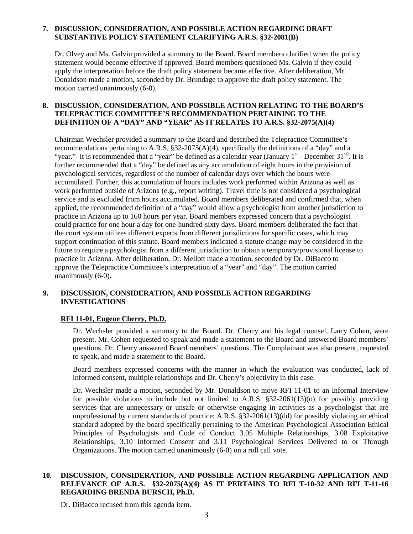#### **7. DISCUSSION, CONSIDERATION, AND POSSIBLE ACTION REGARDING DRAFT SUBSTANTIVE POLICY STATEMENT CLARIFYING A.R.S. §32-2081(B)**

Dr. Olvey and Ms. Galvin provided a summary to the Board. Board members clarified when the policy statement would become effective if approved. Board members questioned Ms. Galvin if they could apply the interpretation before the draft policy statement became effective. After deliberation, Mr. Donaldson made a motion, seconded by Dr. Brundage to approve the draft policy statement. The motion carried unanimously (6-0).

#### **8. DISCUSSION, CONSIDERATION, AND POSSIBLE ACTION RELATING TO THE BOARD'S TELEPRACTICE COMMITTEE'S RECOMMENDATION PERTAINING TO THE DEFINITION OF A "DAY" AND "YEAR" AS IT RELATES TO A.R.S. §32-2075(A)(4)**

Chairman Wechsler provided a summary to the Board and described the Telepractice Committee's recommendations pertaining to A.R.S. §32-2075(A)(4), specifically the definitions of a "day" and a "year." It is recommended that a "year" be defined as a calendar year (January  $1<sup>st</sup>$  - December 31 $<sup>st</sup>$ ). It is</sup> further recommended that a "day" be defined as any accumulation of eight hours in the provision of psychological services, regardless of the number of calendar days over which the hours were accumulated. Further, this accumulation of hours includes work performed within Arizona as well as work performed outside of Arizona (e.g., report writing). Travel time is not considered a psychological service and is excluded from hours accumulated. Board members deliberated and confirmed that, when applied, the recommended definition of a "day" would allow a psychologist from another jurisdiction to practice in Arizona up to 160 hours per year. Board members expressed concern that a psychologist could practice for one hour a day for one-hundred-sixty days. Board members deliberated the fact that the court system utilizes different experts from different jurisdictions for specific cases, which may support continuation of this statute. Board members indicated a statute change may be considered in the future to require a psychologist from a different jurisdiction to obtain a temporary/provisional license to practice in Arizona. After deliberation, Dr. Mellott made a motion, seconded by Dr. DiBacco to approve the Telepractice Committee's interpretation of a "year" and "day". The motion carried unanimously  $(6-0)$ .

# **9. DISCUSSION, CONSIDERATION, AND POSSIBLE ACTION REGARDING INVESTIGATIONS**

# **RFI 11-01, Eugene Cherry, Ph.D.**

Dr. Wechsler provided a summary to the Board. Dr. Cherry and his legal counsel, Larry Cohen, were present. Mr. Cohen requested to speak and made a statement to the Board and answered Board members' questions. Dr. Cherry answered Board members' questions. The Complainant was also present, requested to speak, and made a statement to the Board.

Board members expressed concerns with the manner in which the evaluation was conducted, lack of informed consent, multiple relationships and Dr. Cherry's objectivity in this case.

Dr. Wechsler made a motion, seconded by Mr. Donaldson to move RFI 11-01 to an Informal Interview for possible violations to include but not limited to A.R.S. §32-2061(13)(o) for possibly providing services that are unnecessary or unsafe or otherwise engaging in activities as a psychologist that are unprofessional by current standards of practice; A.R.S. §32-2061(13)(dd) for possibly violating an ethical standard adopted by the board specifically pertaining to the American Psychological Association Ethical Principles of Psychologists and Code of Conduct 3.05 Multiple Relationships, 3.08 Exploitative Relationships, 3.10 Informed Consent and 3.11 Psychological Services Delivered to or Through Organizations. The motion carried unanimously (6-0) on a roll call vote.

## **10. DISCUSSION, CONSIDERATION, AND POSSIBLE ACTION REGARDING APPLICATION AND RELEVANCE OF A.R.S. §32-2075(A)(4) AS IT PERTAINS TO RFI T-10-32 AND RFI T-11-16 REGARDING BRENDA BURSCH, Ph.D.**

Dr. DiBacco recused from this agenda item.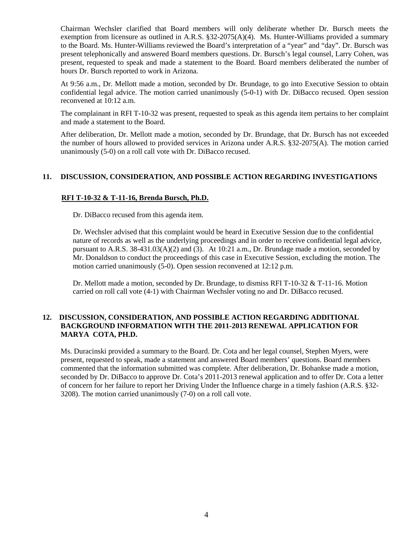Chairman Wechsler clarified that Board members will only deliberate whether Dr. Bursch meets the exemption from licensure as outlined in A.R.S.  $\S32{\text -}2075(A)(4)$ . Ms. Hunter-Williams provided a summary to the Board. Ms. Hunter-Williams reviewed the Board's interpretation of a "year" and "day". Dr. Bursch was present telephonically and answered Board members questions. Dr. Bursch's legal counsel, Larry Cohen, was present, requested to speak and made a statement to the Board. Board members deliberated the number of hours Dr. Bursch reported to work in Arizona.

At 9:56 a.m., Dr. Mellott made a motion, seconded by Dr. Brundage, to go into Executive Session to obtain confidential legal advice. The motion carried unanimously (5-0-1) with Dr. DiBacco recused. Open session reconvened at 10:12 a.m.

The complainant in RFI T-10-32 was present, requested to speak as this agenda item pertains to her complaint and made a statement to the Board.

After deliberation, Dr. Mellott made a motion, seconded by Dr. Brundage, that Dr. Bursch has not exceeded the number of hours allowed to provided services in Arizona under A.R.S. §32-2075(A). The motion carried unanimously (5-0) on a roll call vote with Dr. DiBacco recused.

# **11. DISCUSSION, CONSIDERATION, AND POSSIBLE ACTION REGARDING INVESTIGATIONS**

#### **RFI T-10-32 & T-11-16, Brenda Bursch, Ph.D.**

Dr. DiBacco recused from this agenda item.

Dr. Wechsler advised that this complaint would be heard in Executive Session due to the confidential nature of records as well as the underlying proceedings and in order to receive confidential legal advice, pursuant to A.R.S. 38-431.03(A)(2) and (3).At 10:21 a.m., Dr. Brundage made a motion, seconded by Mr. Donaldson to conduct the proceedings of this case in Executive Session, excluding the motion. The motion carried unanimously (5-0). Open session reconvened at 12:12 p.m.

Dr. Mellott made a motion, seconded by Dr. Brundage, to dismiss RFI T-10-32 & T-11-16. Motion carried on roll call vote (4-1) with Chairman Wechsler voting no and Dr. DiBacco recused.

# **12. DISCUSSION, CONSIDERATION, AND POSSIBLE ACTION REGARDING ADDITIONAL BACKGROUND INFORMATION WITH THE 2011-2013 RENEWAL APPLICATION FOR MARYA COTA, PH.D.**

Ms. Duracinski provided a summary to the Board. Dr. Cota and her legal counsel, Stephen Myers, were present, requested to speak, made a statement and answered Board members' questions. Board members commented that the information submitted was complete. After deliberation, Dr. Bohankse made a motion, seconded by Dr. DiBacco to approve Dr. Cota's 2011-2013 renewal application and to offer Dr. Cota a letter of concern for her failure to report her Driving Under the Influence charge in a timely fashion (A.R.S. §32- 3208). The motion carried unanimously (7-0) on a roll call vote.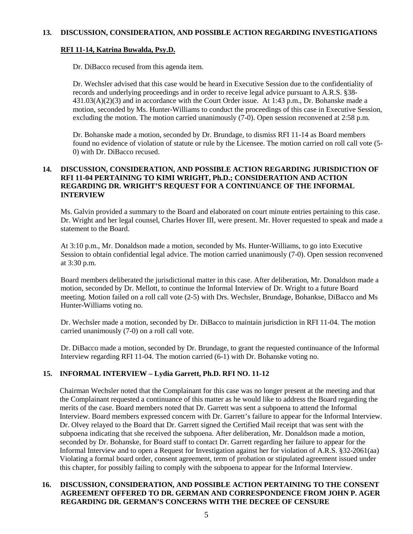# **RFI 11-14, Katrina Buwalda, Psy.D.**

Dr. DiBacco recused from this agenda item.

Dr. Wechsler advised that this case would be heard in Executive Session due to the confidentiality of records and underlying proceedings and in order to receive legal advice pursuant to A.R.S. §38- 431.03(A)(2)(3) and in accordance with the Court Order issue. At 1:43 p.m., Dr. Bohanske made a motion, seconded by Ms. Hunter-Williams to conduct the proceedings of this case in Executive Session, excluding the motion. The motion carried unanimously (7-0). Open session reconvened at 2:58 p.m.

Dr. Bohanske made a motion, seconded by Dr. Brundage, to dismiss RFI 11-14 as Board members found no evidence of violation of statute or rule by the Licensee. The motion carried on roll call vote (5- 0) with Dr. DiBacco recused.

### **14. DISCUSSION, CONSIDERATION, AND POSSIBLE ACTION REGARDING JURISDICTION OF RFI 11-04 PERTAINING TO KIMI WRIGHT, Ph.D.; CONSIDERATION AND ACTION REGARDING DR. WRIGHT'S REQUEST FOR A CONTINUANCE OF THE INFORMAL INTERVIEW**

Ms. Galvin provided a summary to the Board and elaborated on court minute entries pertaining to this case. Dr. Wright and her legal counsel, Charles Hover III, were present. Mr. Hover requested to speak and made a statement to the Board.

At 3:10 p.m., Mr. Donaldson made a motion, seconded by Ms. Hunter-Williams, to go into Executive Session to obtain confidential legal advice. The motion carried unanimously (7-0). Open session reconvened at 3:30 p.m.

Board members deliberated the jurisdictional matter in this case. After deliberation, Mr. Donaldson made a motion, seconded by Dr. Mellott, to continue the Informal Interview of Dr. Wright to a future Board meeting. Motion failed on a roll call vote (2-5) with Drs. Wechsler, Brundage, Bohankse, DiBacco and Ms Hunter-Williams voting no.

Dr. Wechsler made a motion, seconded by Dr. DiBacco to maintain jurisdiction in RFI 11-04. The motion carried unanimously (7-0) on a roll call vote.

Dr. DiBacco made a motion, seconded by Dr. Brundage, to grant the requested continuance of the Informal Interview regarding RFI 11-04. The motion carried (6-1) with Dr. Bohanske voting no.

# **15. INFORMAL INTERVIEW – Lydia Garrett, Ph.D. RFI NO. 11-12**

Chairman Wechsler noted that the Complainant for this case was no longer present at the meeting and that the Complainant requested a continuance of this matter as he would like to address the Board regarding the merits of the case. Board members noted that Dr. Garrett was sent a subpoena to attend the Informal Interview. Board members expressed concern with Dr. Garrett's failure to appear for the Informal Interview. Dr. Olvey relayed to the Board that Dr. Garrett signed the Certified Mail receipt that was sent with the subpoena indicating that she received the subpoena. After deliberation, Mr. Donaldson made a motion, seconded by Dr. Bohanske, for Board staff to contact Dr. Garrett regarding her failure to appear for the Informal Interview and to open a Request for Investigation against her for violation of A.R.S. §32-2061(aa) Violating a formal board order, consent agreement, term of probation or stipulated agreement issued under this chapter, for possibly failing to comply with the subpoena to appear for the Informal Interview.

#### **16. DISCUSSION, CONSIDERATION, AND POSSIBLE ACTION PERTAINING TO THE CONSENT AGREEMENT OFFERED TO DR. GERMAN AND CORRESPONDENCE FROM JOHN P. AGER REGARDING DR. GERMAN'S CONCERNS WITH THE DECREE OF CENSURE**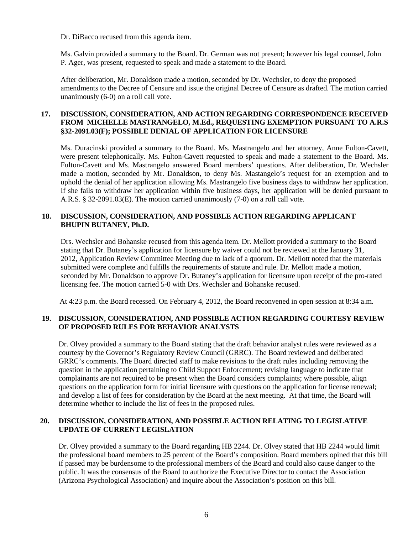Dr. DiBacco recused from this agenda item.

Ms. Galvin provided a summary to the Board. Dr. German was not present; however his legal counsel, John P. Ager, was present, requested to speak and made a statement to the Board.

After deliberation, Mr. Donaldson made a motion, seconded by Dr. Wechsler, to deny the proposed amendments to the Decree of Censure and issue the original Decree of Censure as drafted. The motion carried unanimously (6-0) on a roll call vote.

# **17. DISCUSSION, CONSIDERATION, AND ACTION REGARDING CORRESPONDENCE RECEIVED FROM MICHELLE MASTRANGELO, M.Ed., REQUESTING EXEMPTION PURSUANT TO A.R.S §32-2091.03(F); POSSIBLE DENIAL OF APPLICATION FOR LICENSURE**

Ms. Duracinski provided a summary to the Board. Ms. Mastrangelo and her attorney, Anne Fulton-Cavett, were present telephonically. Ms. Fulton-Cavett requested to speak and made a statement to the Board. Ms. Fulton-Cavett and Ms. Mastrangelo answered Board members' questions. After deliberation, Dr. Wechsler made a motion, seconded by Mr. Donaldson, to deny Ms. Mastangelo's request for an exemption and to uphold the denial of her application allowing Ms. Mastrangelo five business days to withdraw her application. If she fails to withdraw her application within five business days, her application will be denied pursuant to A.R.S. § 32-2091.03(E). The motion carried unanimously (7-0) on a roll call vote.

#### **18. DISCUSSION, CONSIDERATION, AND POSSIBLE ACTION REGARDING APPLICANT BHUPIN BUTANEY, Ph.D.**

Drs. Wechsler and Bohanske recused from this agenda item. Dr. Mellott provided a summary to the Board stating that Dr. Butaney's application for licensure by waiver could not be reviewed at the January 31, 2012, Application Review Committee Meeting due to lack of a quorum. Dr. Mellott noted that the materials submitted were complete and fulfills the requirements of statute and rule. Dr. Mellott made a motion, seconded by Mr. Donaldson to approve Dr. Butaney's application for licensure upon receipt of the pro-rated licensing fee. The motion carried 5-0 with Drs. Wechsler and Bohanske recused.

At 4:23 p.m. the Board recessed. On February 4, 2012, the Board reconvened in open session at 8:34 a.m.

# **19. DISCUSSION, CONSIDERATION, AND POSSIBLE ACTION REGARDING COURTESY REVIEW OF PROPOSED RULES FOR BEHAVIOR ANALYSTS**

Dr. Olvey provided a summary to the Board stating that the draft behavior analyst rules were reviewed as a courtesy by the Governor's Regulatory Review Council (GRRC). The Board reviewed and deliberated GRRC's comments. The Board directed staff to make revisions to the draft rules including removing the question in the application pertaining to Child Support Enforcement; revising language to indicate that complainants are not required to be present when the Board considers complaints; where possible, align questions on the application form for initial licensure with questions on the application for license renewal; and develop a list of fees for consideration by the Board at the next meeting. At that time, the Board will determine whether to include the list of fees in the proposed rules.

# **20. DISCUSSION, CONSIDERATION, AND POSSIBLE ACTION RELATING TO LEGISLATIVE UPDATE OF CURRENT LEGISLATION**

Dr. Olvey provided a summary to the Board regarding HB 2244. Dr. Olvey stated that HB 2244 would limit the professional board members to 25 percent of the Board's composition. Board members opined that this bill if passed may be burdensome to the professional members of the Board and could also cause danger to the public. It was the consensus of the Board to authorize the Executive Director to contact the Association (Arizona Psychological Association) and inquire about the Association's position on this bill.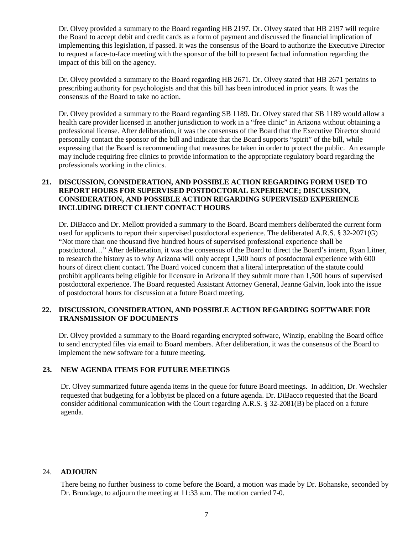Dr. Olvey provided a summary to the Board regarding HB 2197. Dr. Olvey stated that HB 2197 will require the Board to accept debit and credit cards as a form of payment and discussed the financial implication of implementing this legislation, if passed. It was the consensus of the Board to authorize the Executive Director to request a face-to-face meeting with the sponsor of the bill to present factual information regarding the impact of this bill on the agency.

Dr. Olvey provided a summary to the Board regarding HB 2671. Dr. Olvey stated that HB 2671 pertains to prescribing authority for psychologists and that this bill has been introduced in prior years. It was the consensus of the Board to take no action.

Dr. Olvey provided a summary to the Board regarding SB 1189. Dr. Olvey stated that SB 1189 would allow a health care provider licensed in another jurisdiction to work in a "free clinic" in Arizona without obtaining a professional license. After deliberation, it was the consensus of the Board that the Executive Director should personally contact the sponsor of the bill and indicate that the Board supports "spirit" of the bill, while expressing that the Board is recommending that measures be taken in order to protect the public. An example may include requiring free clinics to provide information to the appropriate regulatory board regarding the professionals working in the clinics.

### **21. DISCUSSION, CONSIDERATION, AND POSSIBLE ACTION REGARDING FORM USED TO REPORT HOURS FOR SUPERVISED POSTDOCTORAL EXPERIENCE; DISCUSSION, CONSIDERATION, AND POSSIBLE ACTION REGARDING SUPERVISED EXPERIENCE INCLUDING DIRECT CLIENT CONTACT HOURS**

Dr. DiBacco and Dr. Mellott provided a summary to the Board. Board members deliberated the current form used for applicants to report their supervised postdoctoral experience. The deliberated A.R.S. § 32-2071(G) "Not more than one thousand five hundred hours of supervised professional experience shall be postdoctoral…" After deliberation, it was the consensus of the Board to direct the Board's intern, Ryan Litner, to research the history as to why Arizona will only accept 1,500 hours of postdoctoral experience with 600 hours of direct client contact. The Board voiced concern that a literal interpretation of the statute could prohibit applicants being eligible for licensure in Arizona if they submit more than 1,500 hours of supervised postdoctoral experience. The Board requested Assistant Attorney General, Jeanne Galvin, look into the issue of postdoctoral hours for discussion at a future Board meeting.

# **22. DISCUSSION, CONSIDERATION, AND POSSIBLE ACTION REGARDING SOFTWARE FOR TRANSMISSION OF DOCUMENTS**

Dr. Olvey provided a summary to the Board regarding encrypted software, Winzip, enabling the Board office to send encrypted files via email to Board members. After deliberation, it was the consensus of the Board to implement the new software for a future meeting.

# **23. NEW AGENDA ITEMS FOR FUTURE MEETINGS**

Dr. Olvey summarized future agenda items in the queue for future Board meetings. In addition, Dr. Wechsler requested that budgeting for a lobbyist be placed on a future agenda. Dr. DiBacco requested that the Board consider additional communication with the Court regarding A.R.S.  $\S 32-2081(B)$  be placed on a future agenda.

#### 24. **ADJOURN**

There being no further business to come before the Board, a motion was made by Dr. Bohanske, seconded by Dr. Brundage, to adjourn the meeting at 11:33 a.m. The motion carried 7-0.